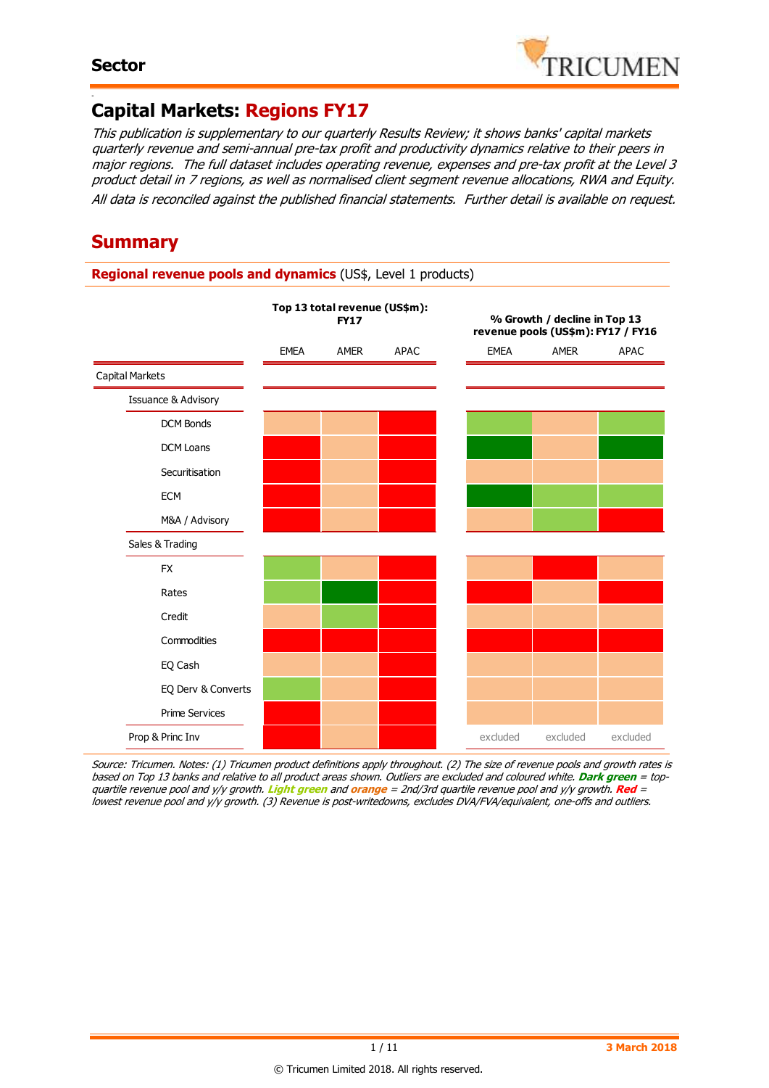-



# **Capital Markets: Regions FY17**

This publication is supplementary to our quarterly Results Review; it shows banks' capital markets quarterly revenue and semi-annual pre-tax profit and productivity dynamics relative to their peers in major regions. The full dataset includes operating revenue, expenses and pre-tax profit at the Level 3 product detail in 7 regions, as well as normalised client segment revenue allocations, RWA and Equity. All data is reconciled against the published financial statements. Further detail is available on request.

# **Summary**

**Regional revenue pools and dynamics** (US\$, Level 1 products)

|                        |             | Top 13 total revenue (US\$m):<br><b>FY17</b> |      | % Growth / decline in Top 13<br>revenue pools (US\$m): FY17 / FY16 |          |             |  |  |  |  |  |  |
|------------------------|-------------|----------------------------------------------|------|--------------------------------------------------------------------|----------|-------------|--|--|--|--|--|--|
|                        | <b>EMEA</b> | AMER                                         | APAC | <b>EMEA</b>                                                        | AMER     | <b>APAC</b> |  |  |  |  |  |  |
| <b>Capital Markets</b> |             |                                              |      |                                                                    |          |             |  |  |  |  |  |  |
| Issuance & Advisory    |             |                                              |      |                                                                    |          |             |  |  |  |  |  |  |
| <b>DCM Bonds</b>       |             |                                              |      |                                                                    |          |             |  |  |  |  |  |  |
| <b>DCM Loans</b>       |             |                                              |      |                                                                    |          |             |  |  |  |  |  |  |
| Securitisation         |             |                                              |      |                                                                    |          |             |  |  |  |  |  |  |
| <b>ECM</b>             |             |                                              |      |                                                                    |          |             |  |  |  |  |  |  |
| M&A / Advisory         |             |                                              |      |                                                                    |          |             |  |  |  |  |  |  |
| Sales & Trading        |             |                                              |      |                                                                    |          |             |  |  |  |  |  |  |
| <b>FX</b>              |             |                                              |      |                                                                    |          |             |  |  |  |  |  |  |
| Rates                  |             |                                              |      |                                                                    |          |             |  |  |  |  |  |  |
| Credit                 |             |                                              |      |                                                                    |          |             |  |  |  |  |  |  |
| Commodities            |             |                                              |      |                                                                    |          |             |  |  |  |  |  |  |
| EQ Cash                |             |                                              |      |                                                                    |          |             |  |  |  |  |  |  |
| EQ Derv & Converts     |             |                                              |      |                                                                    |          |             |  |  |  |  |  |  |
| <b>Prime Services</b>  |             |                                              |      |                                                                    |          |             |  |  |  |  |  |  |
| Prop & Princ Inv       |             |                                              |      | excluded                                                           | excluded | excluded    |  |  |  |  |  |  |

Source: Tricumen. Notes: (1) Tricumen product definitions apply throughout. (2) The size of revenue pools and growth rates is based on Top 13 banks and relative to all product areas shown. Outliers are excluded and coloured white. **Dark green** = topquartile revenue pool and y/y growth. **Light green** and **orange** = 2nd/3rd quartile revenue pool and y/y growth. **Red** <sup>=</sup> lowest revenue pool and y/y growth. (3) Revenue is post-writedowns, excludes DVA/FVA/equivalent, one-offs and outliers.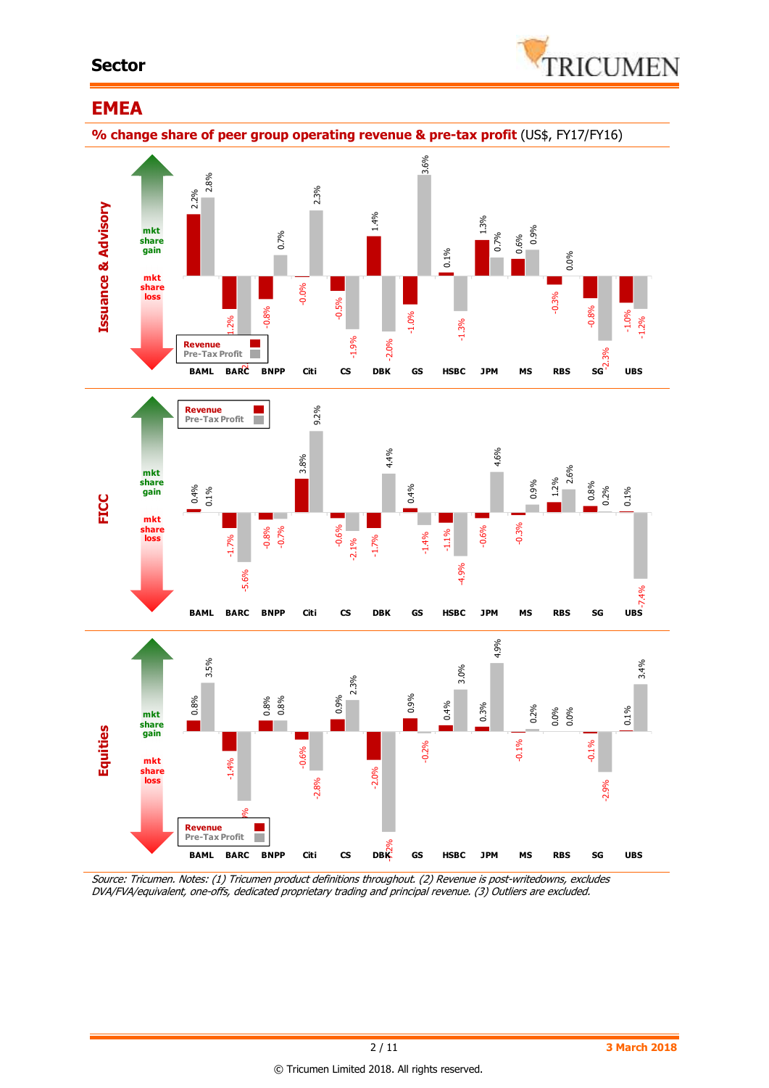### **Sector**



#### **EMEA % change share of peer group operating revenue & pre-tax profit** (US\$, FY17/FY16) **Issuance & Advisory FICC Equities**  DVALUE AND ACCREATED TRADING AND CONSULTABLE TRADING AND CONSULTABLE TRADING AND CONSULTABLE TRADING AND CONSULTABLE TRADING AND CONSULTABLE TRADING AND CONSULTABLE TRADING AND CONSULTABLE TRADING AND CONSULTABLE TRADING -1.0% 2.8%  $\frac{1}{2}$ rofit **a** 0.7% 2.3% -1.9% -2.0% 3.6% -1.3% 0.7% 0.9% 0.0% -2.3% -1.2% -0.03 -0.02 0.01 **share gain** 0.03 0.04 **BAML BARC BNPP Citi CS DBK GS HSBC JPM MS RBS SG UBS mkt mkt share loss Revenue Pre-Tax Profit** 0.4% -1.7% -0.8% 3.8% -0.6% -1.7% 0.4% -1.1% -0.6% -0.3% 1.2% 0.8% 0.1% 0.1% -5.6% -0.7% 9.2% -2.1% 4.4% -1.4% -4.9% 4.6% 0.9% 2.6% 0.2% -0.1 -7.4%<br>UBS -0.08 -0.06 -0.04 -0.02 **share**  0.02 0.04 **share**  0.06 0.08 0.12 BAML BARC BNPP Citi CS DBK GS HSBC JPM MS RBS SG **mkt gain mkt loss Revenue Pre-Tax Profit** 0.8% -1.4% 0.8% -0.6% 0.9% -2.0% 0.9% 0.4% 0.3% -0.1% 0.0% 0.0% -0.1% 0.1% 3.5%  $\frac{1}{\sqrt{6}}$ 0.8% -2.8% 2.3%  $DBK$ -0.2% 3.0% 4.9% 0.2% -2.9% 3.4% -0.08 -0.06 mkt 0.04 0.06 BAML BARC BNPP Citi CS DBK GS HSBC JPM MS RBS SG UBS **mkt share gain share loss Revenue Pre-Tax Profit**

Source: Tricumen. Notes: (1) Tricumen product definitions throughout. (2) Revenue is post-writedowns, excludes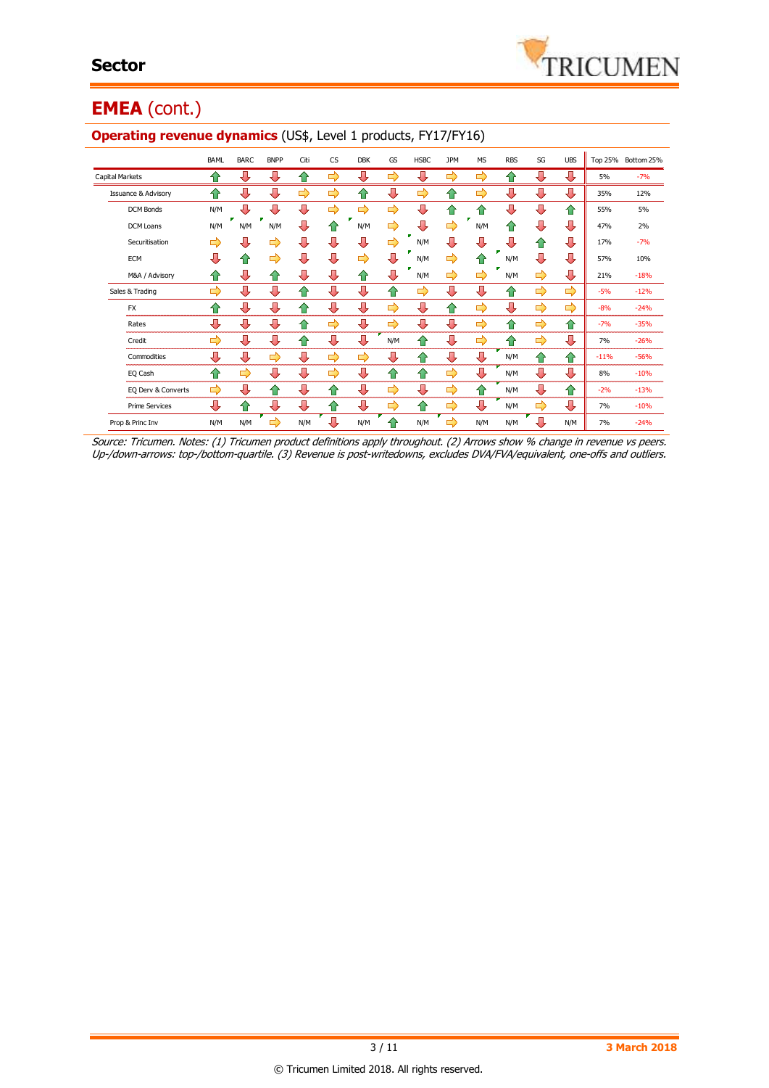

# **EMEA** (cont.)

|                                | <b>BAML</b> | <b>BARC</b> | <b>BNPP</b> | Citi | <b>CS</b> | <b>DBK</b>    | GS            | <b>HSBC</b> | <b>JPM</b>    | <b>MS</b> | <b>RBS</b> | SG            | <b>UBS</b> |        | Top 25% Bottom 25% |
|--------------------------------|-------------|-------------|-------------|------|-----------|---------------|---------------|-------------|---------------|-----------|------------|---------------|------------|--------|--------------------|
| <b>Capital Markets</b>         | ⇑           | ⊕           | ⊕           | 40   | ⇨         | J             | ⇨             | ᆊ           | ⇨             | ⇨         | ⇑          | ⊕             | ⇩          | 5%     | $-7%$              |
| <b>Issuance &amp; Advisory</b> | ⇑           | ⇩           | ⇩           | ⇨    | ⇨         | ⇑             | ⇩             | ⇨           | ⇑             | ⇨         | ⇩          | ⇩             | ⇩          | 35%    | 12%                |
| DCM Bonds                      | N/M         | ⊕           | ⇩           | ⊕    | ⇨         | $\Rightarrow$ | ⇨             | ⊕           | ⇧             | ♠         | ⊕          | ⊕             | ⇑          | 55%    | 5%                 |
| <b>DCM Loans</b>               | N/M         | N/M         | N/M         | ⊕    | ⇑         | N/M           | ⇨             | ⇩           | ⇨             | N/M       | ⇑          | ⇩             | ⇩          | 47%    | 2%                 |
| Securitisation                 | ⇨           | ⊕           | ⇨           | ⊕    | ⇩         | л             | ⇨             | N/M         | ⇩             | ⊕         | ⇩          | ⇧             | ⊕          | 17%    | $-7%$              |
| <b>ECM</b>                     | ⊕           | ⇑           | ⇨           | ⊕    | ⇩         | ⇨             | ⊕             | N/M         | ⇨             | ⇑         | N/M        | ⊕             | ⇩          | 57%    | 10%                |
| M&A / Advisory                 | ⇑           | ⊕           | ⇑           | ⊕    | ⇩         | ⇑             | ⇩             | N/M         | ⇨             | ⇨         | N/M        | $\Rightarrow$ | ⊕          | 21%    | $-18%$             |
| Sales & Trading                | ⇨           | ⇩           | ⊕           | ⇑    | ⇩         | ⊕             | ⇑             | ⇨           | ⊕             | ⊕         | 合          | ⇨             | ⇨          | $-5%$  | $-12%$             |
| <b>FX</b>                      | ⇑           | ⇩           | ⊕           | ♠    | ⇩         | ⇩             | $\Rightarrow$ | ⇩           | ⇑             | ⇨         | ⊕          | ⇨             | ⇨          | $-8%$  | $-24%$             |
| Rates                          | ⊕           | ⊕           | ⇩           | ⇑    | ⇨         | ⇩             | ⇨             | 几           | Л             | ⇨         | ⇑          | ⇨             | ⇑          | $-7%$  | $-35%$             |
| Credit                         | ⇨           | ⊕           | ⊕           | ⇑    | ⇩         | ⇩             | N/M           | ⇑           | ⇩             | ⇨         | ⇑          | $\Rightarrow$ | ⊕          | 7%     | $-26%$             |
| Commodities                    | ⊕           | ⊕           | ⇨           | ⊕    | ⇨         | ⇨             | ⊕             | ⇑           | ⇩             | ⇩         | N/M        | ⇧             | ⇧          | $-11%$ | $-56%$             |
| EQ Cash                        | ⇑           | ⇨           | ⇩           | ⊕    | ⇨         | J             | ങ             | ⇑           | $\Rightarrow$ | ⇩         | N/M        | ⇩             | ⊕          | 8%     | $-10%$             |
| EQ Derv & Converts             | ⇨           | ⊕           | 企           | ⊕    | 企         | ⊕             | ⇨             | ⊕           | ⇨             | ⇑         | N/M        | ⊕             | ⇧          | $-2%$  | $-13%$             |
| <b>Prime Services</b>          | ⊕           | 企           | л           | ⊕    | ⇑         | ⊕             | ⇨             | ⇑           | ⇨             | ⇩         | N/M        | ➡             | ⊕          | 7%     | $-10%$             |
| Prop & Princ Inv               | N/M         | N/M         | ⇨           | N/M  | ⇩         | N/M           |               | N/M         | ⇨             | N/M       | N/M        | ⇩             | N/M        | 7%     | $-24%$             |

#### **Operating revenue dynamics** (US\$, Level 1 products, FY17/FY16)

Source: Tricumen. Notes: (1) Tricumen product definitions apply throughout. (2) Arrows show % change in revenue vs peers. Up-/down-arrows: top-/bottom-quartile. (3) Revenue is post-writedowns, excludes DVA/FVA/equivalent, one-offs and outliers.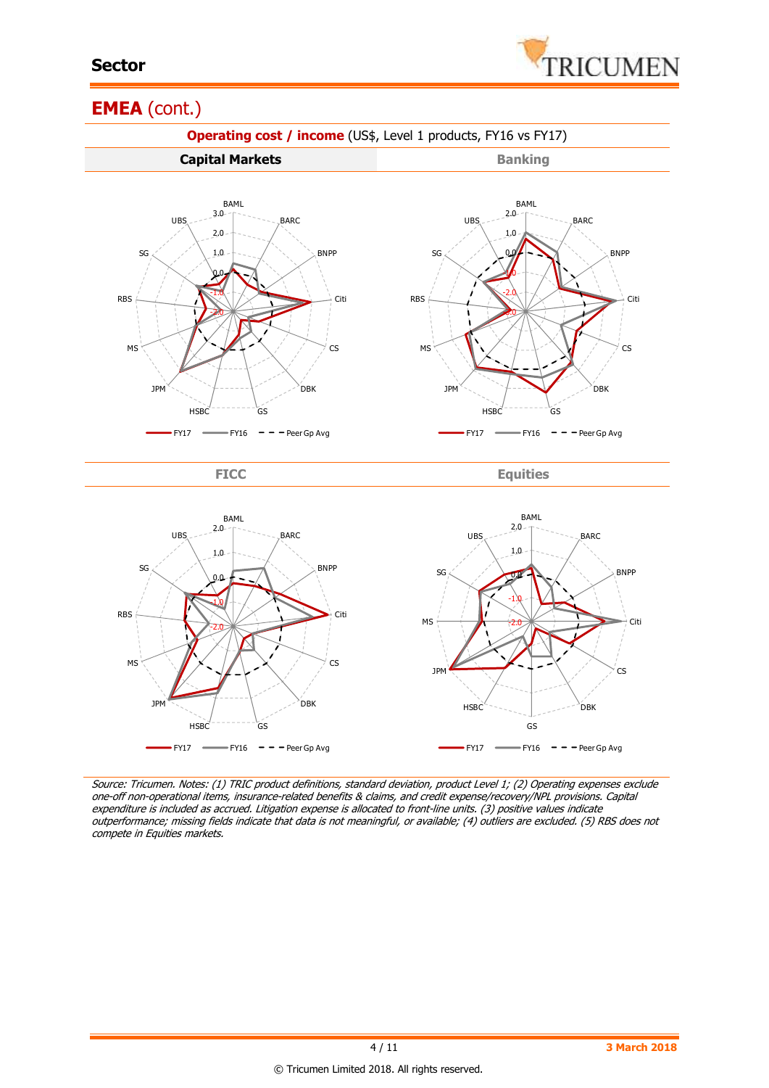

# **EMEA** (cont.)



Source: Tricumen. Notes: (1) TRIC product definitions, standard deviation, product Level 1; (2) Operating expenses exclude one-off non-operational items, insurance-related benefits & claims, and credit expense/recovery/NPL provisions. Capital expenditure is included as accrued. Litigation expense is allocated to front-line units. (3) positive values indicate outperformance; missing fields indicate that data is not meaningful, or available; (4) outliers are excluded. (5) RBS does not compete in Equities markets.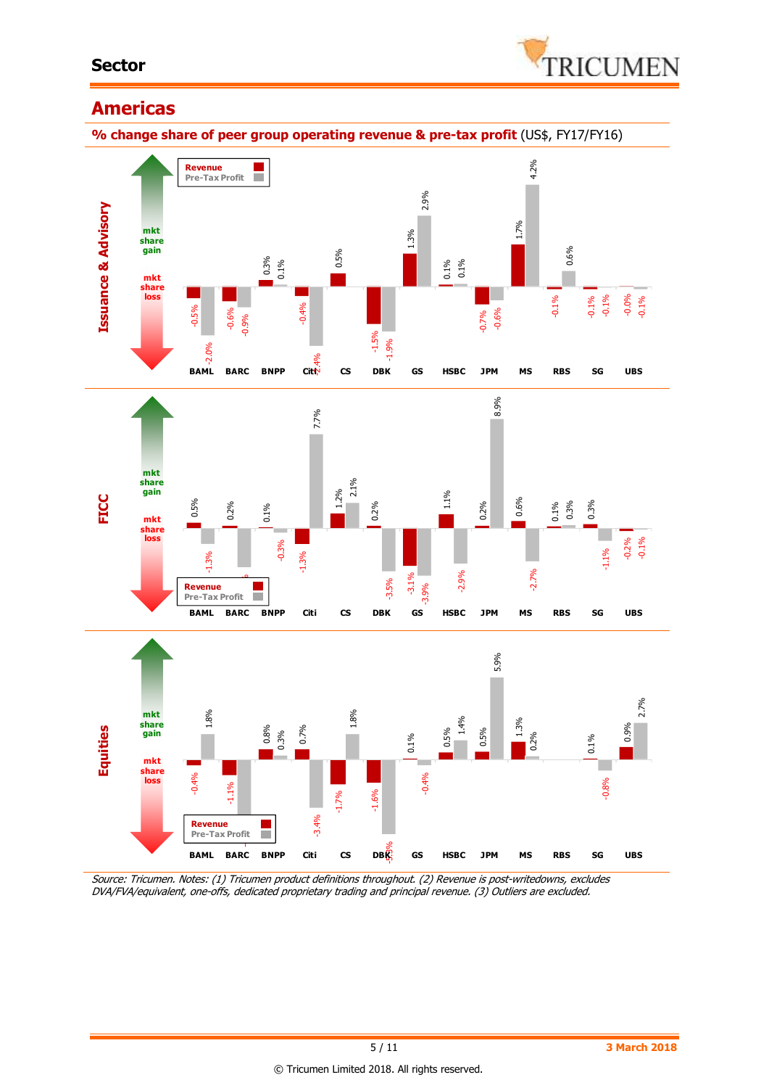

# **Americas**

**% change share of peer group operating revenue & pre-tax profit** (US\$, FY17/FY16)



Source: Tricumen. Notes: (1) Tricumen product definitions throughout. (2) Revenue is post-writedowns, excludes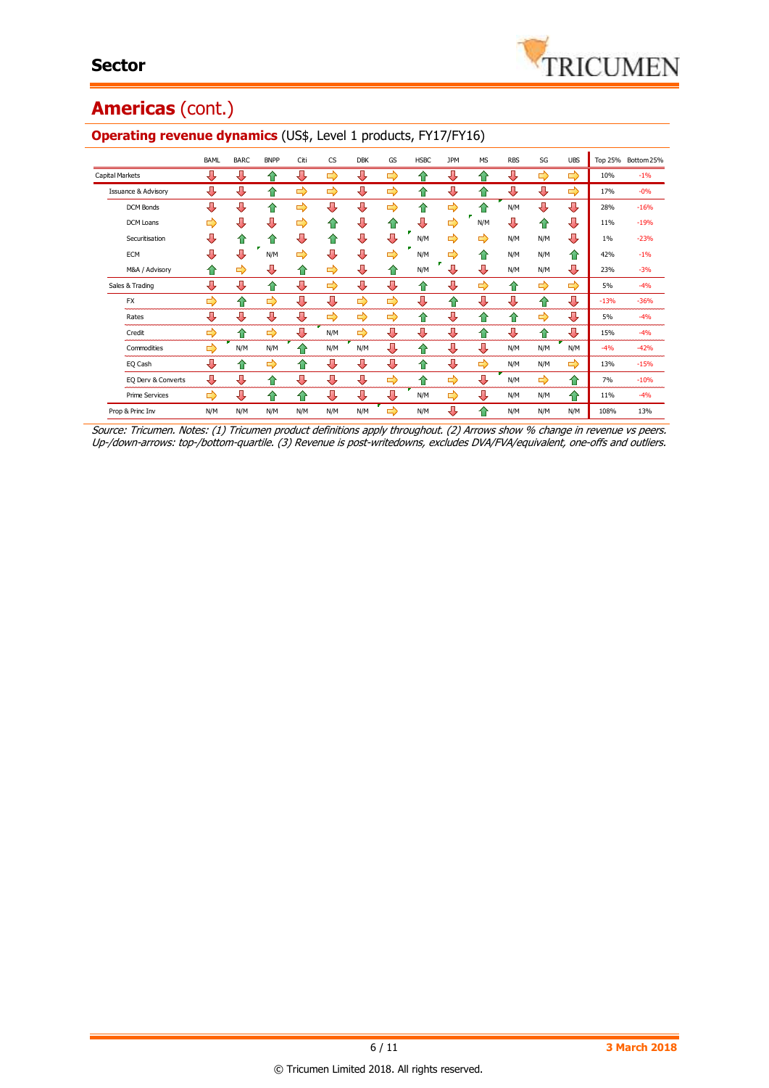# **Americas** (cont.)

|                                | <b>BAML</b> | <b>BARC</b> | <b>BNPP</b> | Citi | <b>CS</b> | <b>DBK</b> | GS            | <b>HSBC</b> | <b>JPM</b> | <b>MS</b>  | <b>RBS</b> | SG  | <b>UBS</b> | <b>Top 25%</b> | Bottom 25% |
|--------------------------------|-------------|-------------|-------------|------|-----------|------------|---------------|-------------|------------|------------|------------|-----|------------|----------------|------------|
| <b>Capital Markets</b>         | ⊕           | ⊕           | $\bullet$   | ⊕    | ⇨         | ⊕          | ⇛             | ≏           | ⊕          | ⇑          | ⊕          | ⇨   | ⇨          | 10%            | $-1%$      |
| <b>Issuance &amp; Advisory</b> | ⊕           | ⊕           | ⇑           | ⇨    | ⇨         | ⊕          | ⇨             | ⇑           | ⊕          | ⇑          | ⊕          | ⊕   | ⇨          | 17%            | $-0%$      |
| <b>DCM Bonds</b>               | ⊕           | ⊕           | ⇑           | ⇨    | Д         | ⊕          | $\Rightarrow$ | 合           | ⇨          | $\bigcap$  | N/M        | ⊕   | ⊕          | 28%            | $-16%$     |
| DCM Loans                      | ⇨           | л           | ⊕           | ⇨    | ⇑         | ⊕          | 企             | 毋           | ⇨          | N/M        | ⊕          | ⇑   | ⊕          | 11%            | $-19%$     |
| Securitisation                 | ⊕           | ⇑           | 企           | ⊕    | ⇑         | ⊕          | ⊕             | N/M         | ⇨          | ⇨          | N/M        | N/M | ⊕          | $1\%$          | $-23%$     |
| <b>ECM</b>                     | ⊕           | Д           | N/M         | ⇨    | Д         | ⊕          | ⇛             | N/M         | ⇨          | ⇑          | N/M        | N/M | ⇑          | 42%            | $-1%$      |
| M&A / Advisory                 | ⇑           | ⇨           | ⊕           | ⇑    | ⇨         | ⊕          | ⇑             | N/M         | л          | ⊕          | N/M        | N/M | ⊕          | 23%            | $-3%$      |
| Sales & Trading                | Л           | ⊕           | ⇧           | ⊕    | ⇨         | л          | J             | ങ           | 几          | ⇨          | ⇑          | ⇨   | ⇨          | 5%             | $-4%$      |
| <b>FX</b>                      | ⇨           | ⇑           | ⇨           | ⊕    | ⊕         | ⇨          | $\Rightarrow$ | ⊕           | ⇑          | ⊕          | ⊕          | ⇑   | ⊕          | $-13%$         | $-36%$     |
| Rates                          | ⊕           | ⊕           | ⊕           | ⊕    | ⇨         | ⇨          | ⇛             | ⇑           | л          | 企          | 企          | ⇨   | ⊕          | 5%             | $-4%$      |
| Credit                         | ⇨           | ≏           | ⇨           | Д    | N/M       | ⇨          | ⊕             | ⊕           | ⊕          | $\bigcirc$ | ⊕          | ⇑   | ⊕          | 15%            | $-4%$      |
| Commodities                    | ⇨           | N/M         | N/M         | ⇑    | N/M       | N/M        | ⊕             | ⇑           | ⊕          | ⇩          | N/M        | N/M | N/M        | $-4%$          | $-42%$     |
| EQ Cash                        | ⊕           | ⇑           | ⇨           | ⇑    | ⊕         | ⊕          | ⊕             | ⇑           | ⊕          | ⇨          | N/M        | N/M | ⇨          | 13%            | $-15%$     |
| EQ Derv & Converts             | ⊕           | ⊕           | ⇑           | ⊕    | ⊕         | ⊕          | ⇨             | ≏           | ⇨          | ⊕          | N/M        | ⇨   | 仐          | 7%             | $-10%$     |
| <b>Prime Services</b>          | ⇨           | ⊕           | ⇑           | ⇑    | ⊕         | ⊕          | ⊕             | N/M         | ⇨          | ⊕          | N/M        | N/M | 仐          | 11%            | $-4%$      |
| Prop & Princ Inv               | N/M         | N/M         | N/M         | N/M  | N/M       | N/M        | ⇨             | N/M         | ⊕          | ⇑          | N/M        | N/M | N/M        | 108%           | 13%        |

#### **Operating revenue dynamics** (US\$, Level 1 products, FY17/FY16)

Source: Tricumen. Notes: (1) Tricumen product definitions apply throughout. (2) Arrows show % change in revenue vs peers. Up-/down-arrows: top-/bottom-quartile. (3) Revenue is post-writedowns, excludes DVA/FVA/equivalent, one-offs and outliers.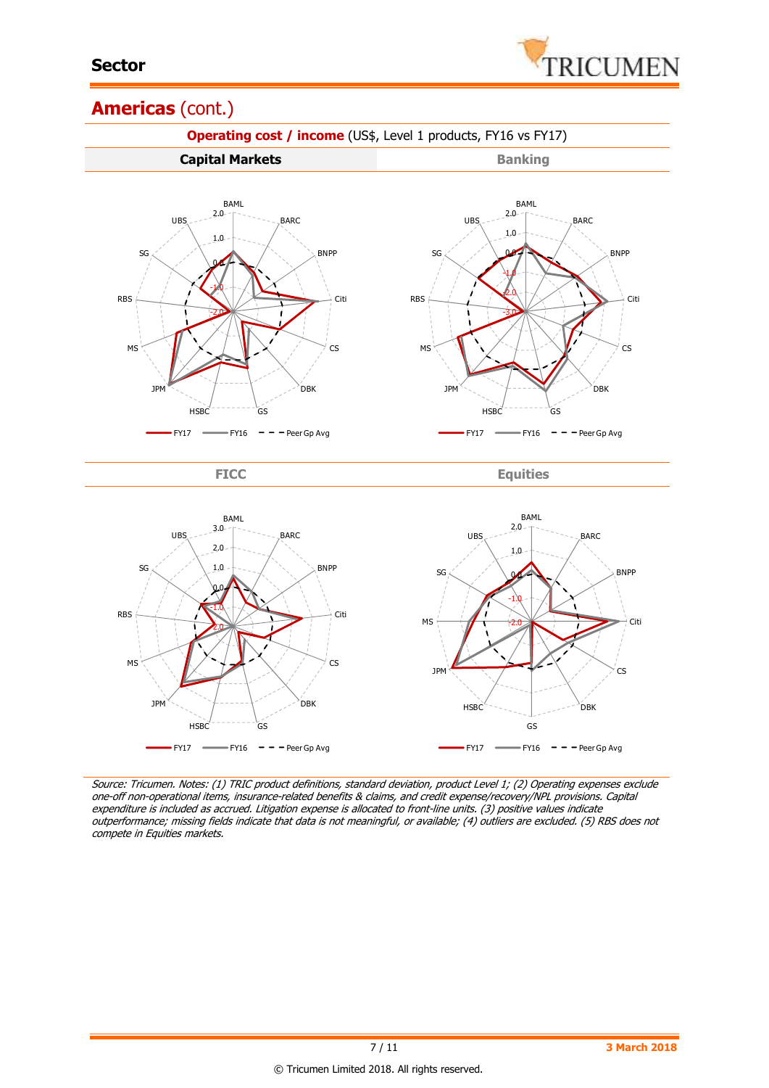

# **Americas** (cont.)



Source: Tricumen. Notes: (1) TRIC product definitions, standard deviation, product Level 1; (2) Operating expenses exclude one-off non-operational items, insurance-related benefits & claims, and credit expense/recovery/NPL provisions. Capital expenditure is included as accrued. Litigation expense is allocated to front-line units. (3) positive values indicate outperformance; missing fields indicate that data is not meaningful, or available; (4) outliers are excluded. (5) RBS does not compete in Equities markets.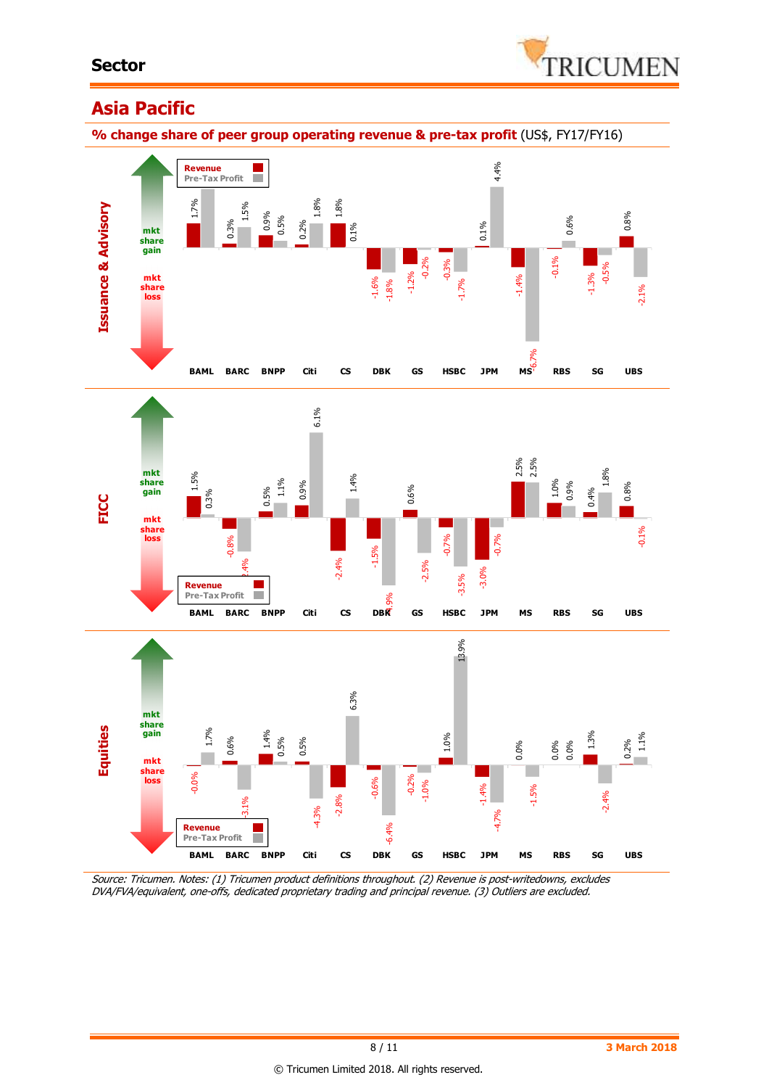

# **Asia Pacific**

**% change share of peer group operating revenue & pre-tax profit** (US\$, FY17/FY16)



Source: Tricumen. Notes: (1) Tricumen product definitions throughout. (2) Revenue is post-writedowns, excludes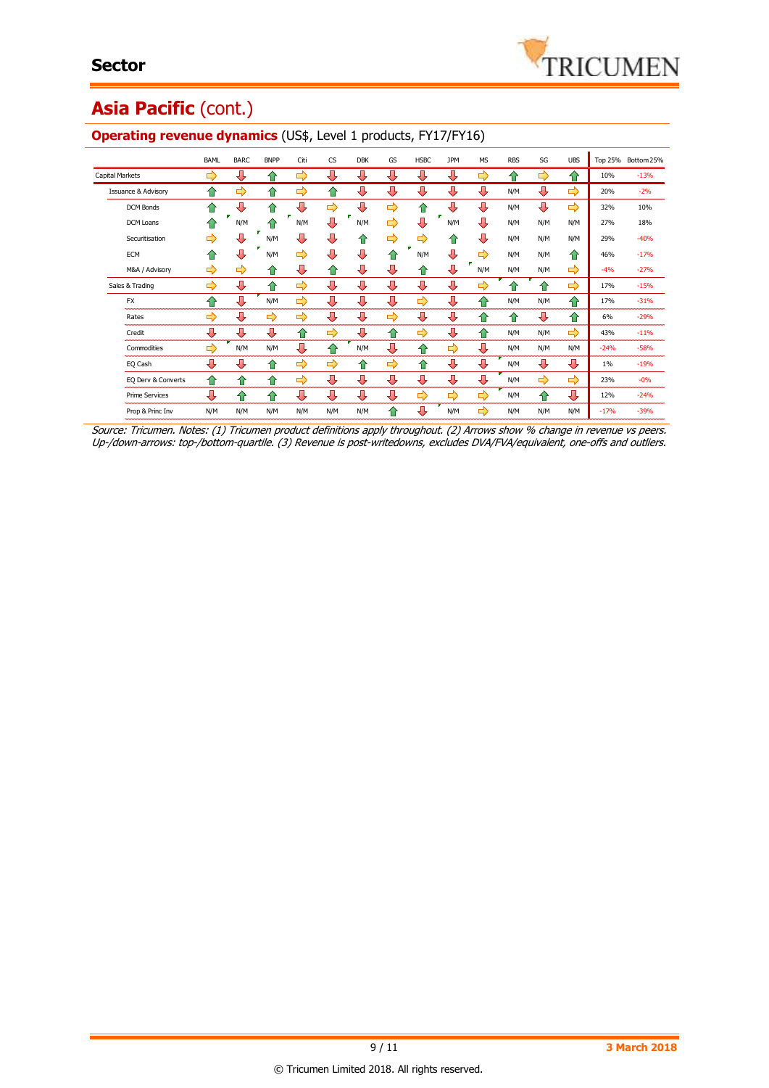# Asia Pacific (cont.)

|                                | BAML | <b>BARC</b> | <b>BNPP</b> | Citi | <b>CS</b> | <b>DBK</b> | GS            | <b>HSBC</b> | <b>JPM</b> | <b>MS</b>     | <b>RBS</b> | SG  | <b>UBS</b> | Top 25% | Bottom 25% |
|--------------------------------|------|-------------|-------------|------|-----------|------------|---------------|-------------|------------|---------------|------------|-----|------------|---------|------------|
| <b>Capital Markets</b>         | ⇨    | ⊕           | 仆           | ⇨    | ⊕         | ⊕          | ⊕             | л           | ⊕          | ⇨             | ⇑          | ⇨   | ⇧          | 10%     | $-13%$     |
| <b>Issuance &amp; Advisory</b> | ⇑    | ⇨           | ♠           | ⇨    | ⇑         | ⊕          | ⊕             | ⊕           | ⇩          | ⊕             | N/M        | ⊕   | ⇨          | 20%     | $-2%$      |
| <b>DCM Bonds</b>               | ♠    | ⊕           | ⇑           | Д    | ⇨         | Д          | ⇨             | 企           | л          | ⊕             | N/M        | ⊕   | ⇨          | 32%     | 10%        |
| DCM Loans                      |      | N/M         |             | N/M  | Д         | N/M        | ⇨             | л           | N/M        | л             | N/M        | N/M | N/M        | 27%     | 18%        |
| Securitisation                 | ⇨    | ⊕           | N/M         | л    | л         | ⇑          | $\Rightarrow$ | ⇨           | ⇑          | л             | N/M        | N/M | N/M        | 29%     | $-40%$     |
| ECM                            | ♠    | л           | N/M         | ⇨    | л         | л          | ⇑             | N/M         | ⊕          | ⇨             | N/M        | N/M | ⇑          | 46%     | $-17%$     |
| M&A / Advisory                 | ⇨    | ⇨           | 仆           | ⊕    | ⇑         | ⊕          | ⊕             | ⇑           | ⊕          | N/M           | N/M        | N/M | ⇨          | $-4%$   | $-27%$     |
| Sales & Trading                | ⇨    | ⇩           | 企           | ⇨    | ⊕         | ⊕          | ⇩             | ⇩           | л          | E)            |            | ≏   | ⇨          | 17%     | $-15%$     |
| <b>FX</b>                      | ≏    | ⇩           | N/M         | ⇨    | ⊕         | ⊕          | ⊕             | ⇨           | ⊕          | ⇑             | N/M        | N/M | 仐          | 17%     | $-31%$     |
| Rates                          | ⇨    | ⊕           | ⇨           | ⇨    | ⊕         | ⊕          | ⇨             | ⊕           | ⊕          | 企             | ⇑          | ⊕   | ✿          | 6%      | $-29%$     |
| Credit                         | ⊕    | ⊕           | Д           | ⇑    | ⇨         | ⊕          | ⇑             | ⇨           | ⊕          | ⇑             | N/M        | N/M | ⇨          | 43%     | $-11%$     |
| Commodities                    | ⇨    | N/M         | N/M         | ⊕    | ⇑         | N/M        | ⊕             | ⇑           | ⇨          | л             | N/M        | N/M | N/M        | $-24%$  | $-58%$     |
| EQ Cash                        | л    | ⊕           | ⇑           | ⇨    | ⇨         | ⇑          | ⇨             | ⇑           | ⊕          | ⊕             | N/M        | ⇩   | ⊕          | $1\%$   | $-19%$     |
| EQ Derv & Converts             | ⇑    | ⇑           | ⇑           | ⇨    | ⊕         | ⊕          | J,            | ⊕           | ⊕          | ⊕             | N/M        | ⇨   | ⇨          | 23%     | $-0%$      |
| <b>Prime Services</b>          | ⊕    | ⇑           | ⇑           | ⊕    | ⊕         | ⊕          | ⊕             | ⇨           | ⇨          | $\Rightarrow$ | N/M        | ⇑   | ⊕          | 12%     | $-24%$     |
| Prop & Princ Inv               | N/M  | N/M         | N/M         | N/M  | N/M       | N/M        | ♠             | J,          | N/M        | ⇨             | N/M        | N/M | N/M        | $-17%$  | $-39%$     |

#### **Operating revenue dynamics** (US\$, Level 1 products, FY17/FY16)

Source: Tricumen. Notes: (1) Tricumen product definitions apply throughout. (2) Arrows show % change in revenue vs peers. Up-/down-arrows: top-/bottom-quartile. (3) Revenue is post-writedowns, excludes DVA/FVA/equivalent, one-offs and outliers.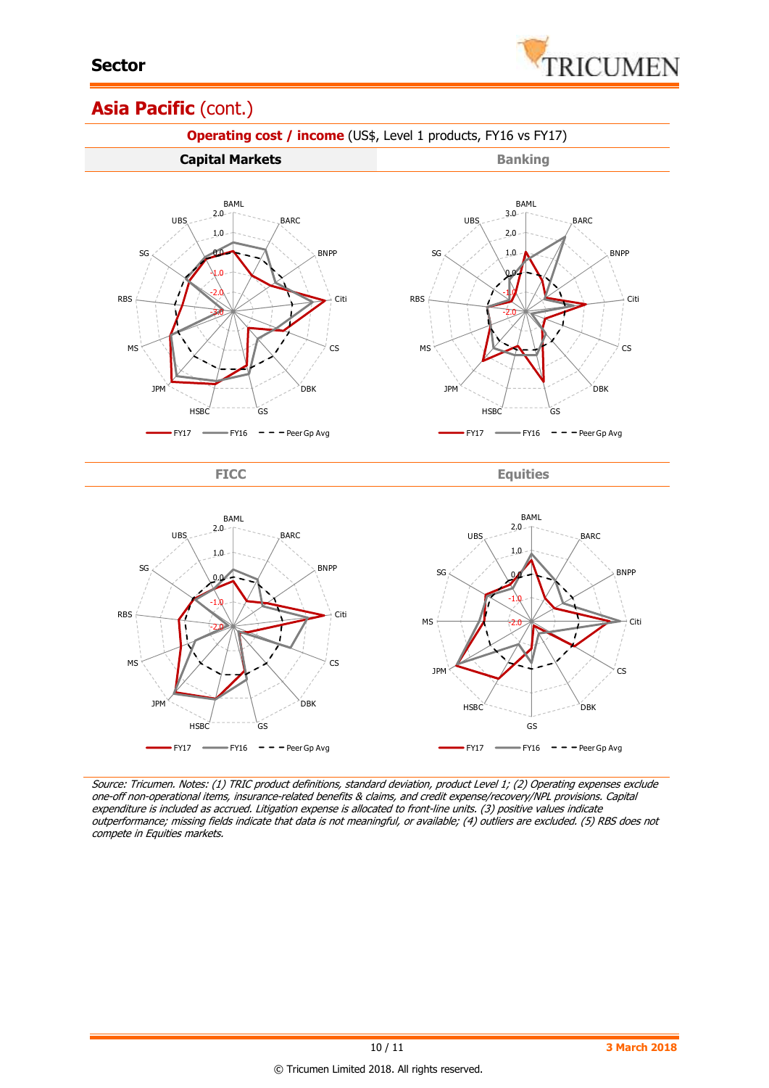

# Asia Pacific (cont.)



Source: Tricumen. Notes: (1) TRIC product definitions, standard deviation, product Level 1; (2) Operating expenses exclude one-off non-operational items, insurance-related benefits & claims, and credit expense/recovery/NPL provisions. Capital expenditure is included as accrued. Litigation expense is allocated to front-line units. (3) positive values indicate outperformance; missing fields indicate that data is not meaningful, or available; (4) outliers are excluded. (5) RBS does not compete in Equities markets.